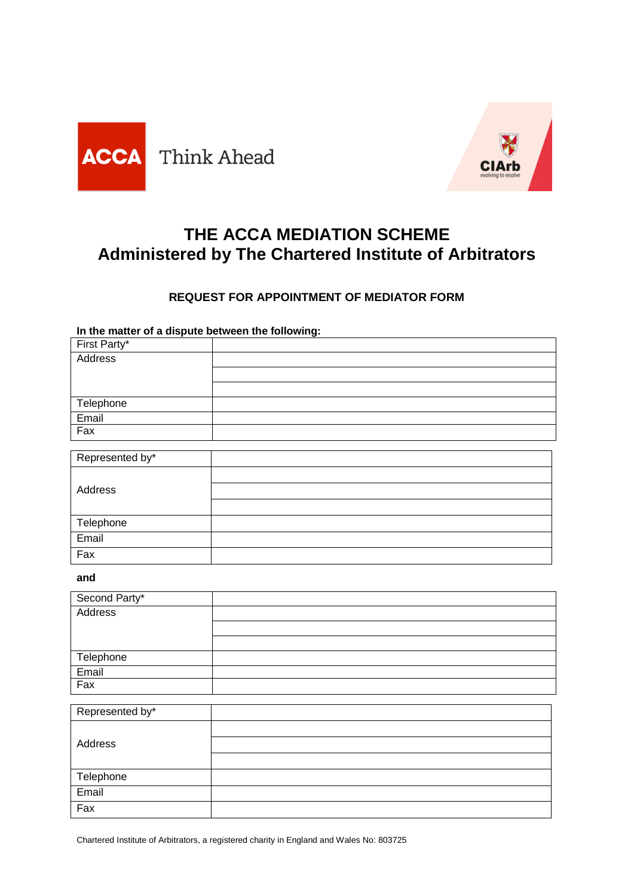



# **THE ACCA MEDIATION SCHEME Administered by The Chartered Institute of Arbitrators**

## **REQUEST FOR APPOINTMENT OF MEDIATOR FORM**

**In the matter of a dispute between the following:** 

| First Party*    |  |
|-----------------|--|
| Address         |  |
|                 |  |
|                 |  |
| Telephone       |  |
| Email           |  |
| Fax             |  |
|                 |  |
| Represented by* |  |
|                 |  |
| Address         |  |
|                 |  |
| Telephone       |  |
| Email           |  |
| Fax             |  |

### **and**

| Second Party* |  |
|---------------|--|
| Address       |  |
|               |  |
|               |  |
| Telephone     |  |
| Email         |  |
| Fax           |  |

| Represented by* |  |
|-----------------|--|
| Address         |  |
|                 |  |
|                 |  |
| Telephone       |  |
| Email           |  |
| Fax             |  |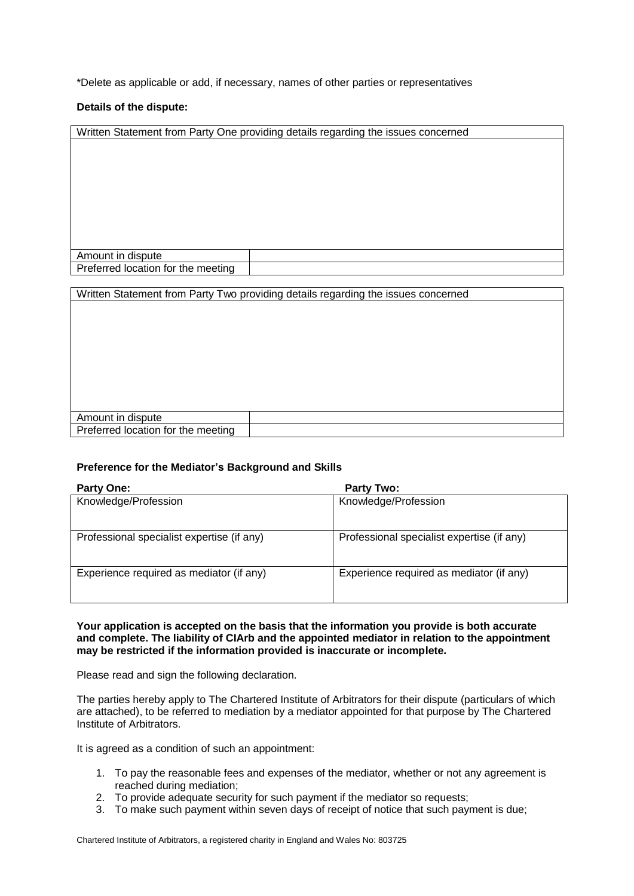\*Delete as applicable or add, if necessary, names of other parties or representatives

#### **Details of the dispute:**

| Amount in dispute<br>Preferred location for the meeting                           |                                                                                   |  |
|-----------------------------------------------------------------------------------|-----------------------------------------------------------------------------------|--|
|                                                                                   | Written Statement from Party One providing details regarding the issues concerned |  |
|                                                                                   |                                                                                   |  |
|                                                                                   |                                                                                   |  |
|                                                                                   |                                                                                   |  |
|                                                                                   |                                                                                   |  |
|                                                                                   |                                                                                   |  |
|                                                                                   |                                                                                   |  |
|                                                                                   |                                                                                   |  |
|                                                                                   |                                                                                   |  |
|                                                                                   |                                                                                   |  |
|                                                                                   |                                                                                   |  |
|                                                                                   |                                                                                   |  |
|                                                                                   |                                                                                   |  |
|                                                                                   |                                                                                   |  |
| Written Statement from Party Two providing details regarding the issues concerned |                                                                                   |  |
|                                                                                   |                                                                                   |  |

| dispute<br>ount in<br>Am.                                        |  |
|------------------------------------------------------------------|--|
| D<br>eterred<br><b>Incation</b><br>meetina<br>tor<br>the<br>Pro. |  |
|                                                                  |  |

#### **Preference for the Mediator's Background and Skills**

| <b>Party One:</b>                          | <b>Party Two:</b>                          |
|--------------------------------------------|--------------------------------------------|
| Knowledge/Profession                       | Knowledge/Profession                       |
| Professional specialist expertise (if any) | Professional specialist expertise (if any) |
| Experience required as mediator (if any)   | Experience required as mediator (if any)   |

#### **Your application is accepted on the basis that the information you provide is both accurate and complete. The liability of CIArb and the appointed mediator in relation to the appointment may be restricted if the information provided is inaccurate or incomplete.**

Please read and sign the following declaration.

The parties hereby apply to The Chartered Institute of Arbitrators for their dispute (particulars of which are attached), to be referred to mediation by a mediator appointed for that purpose by The Chartered Institute of Arbitrators.

It is agreed as a condition of such an appointment:

- 1. To pay the reasonable fees and expenses of the mediator, whether or not any agreement is reached during mediation;
- 2. To provide adequate security for such payment if the mediator so requests;
- 3. To make such payment within seven days of receipt of notice that such payment is due;